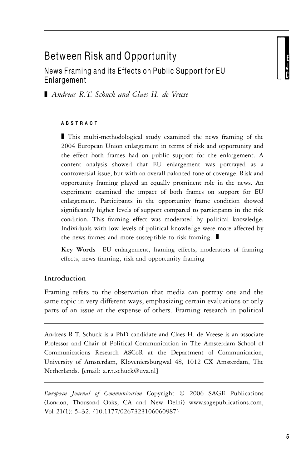# Between Risk and Opportunity

News Framing and its Effects on Public Support for EU Enlargement

- *Andreas R.T. Schuck and Claes H. de Vreese*

#### **ABSTRACT**

- This multi-methodological study examined the news framing of the 2004 European Union enlargement in terms of risk and opportunity and the effect both frames had on public support for the enlargement. A content analysis showed that EU enlargement was portrayed as a controversial issue, but with an overall balanced tone of coverage. Risk and opportunity framing played an equally prominent role in the news. An experiment examined the impact of both frames on support for EU enlargement. Participants in the opportunity frame condition showed significantly higher levels of support compared to participants in the risk condition. This framing effect was moderated by political knowledge. Individuals with low levels of political knowledge were more affected by the news frames and more susceptible to risk framing.  $\blacksquare$ 

**Key Words** EU enlargement, framing effects, moderators of framing effects, news framing, risk and opportunity framing

## **Introduction**

Framing refers to the observation that media can portray one and the same topic in very different ways, emphasizing certain evaluations or only parts of an issue at the expense of others. Framing research in political

Andreas R.T. Schuck is a PhD candidate and Claes H. de Vreese is an associate Professor and Chair of Political Communication in The Amsterdam School of Communications Research ASCoR at the Department of Communication, University of Amsterdam, Kloveniersburgwal 48, 1012 CX Amsterdam, The Netherlands. [email: a.r.t.schuck@uva.nl]

*European Journal of Communication* Copyright © 2006 SAGE Publications (London, Thousand Oaks, CA and New Delhi) www.sagepublications.com, Vol 21(1): 5–32. [10.1177/0267323106060987]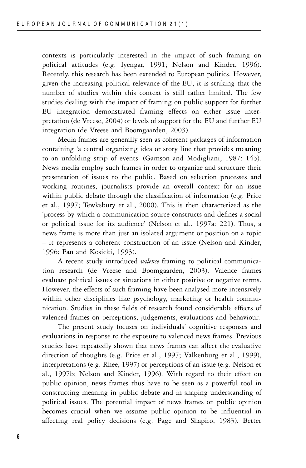contexts is particularly interested in the impact of such framing on political attitudes (e.g. Iyengar, 1991; Nelson and Kinder, 1996). Recently, this research has been extended to European politics. However, given the increasing political relevance of the EU, it is striking that the number of studies within this context is still rather limited. The few studies dealing with the impact of framing on public support for further EU integration demonstrated framing effects on either issue interpretation (de Vreese, 2004) or levels of support for the EU and further EU integration (de Vreese and Boomgaarden, 2003).

Media frames are generally seen as coherent packages of information containing 'a central organizing idea or story line that provides meaning to an unfolding strip of events' (Gamson and Modigliani, 1987: 143). News media employ such frames in order to organize and structure their presentation of issues to the public. Based on selection processes and working routines, journalists provide an overall context for an issue within public debate through the classification of information (e.g. Price et al., 1997; Tewksbury et al., 2000). This is then characterized as the 'process by which a communication source constructs and defines a social or political issue for its audience' (Nelson et al., 1997a: 221). Thus, a news frame is more than just an isolated argument or position on a topic – it represents a coherent construction of an issue (Nelson and Kinder, 1996; Pan and Kosicki, 1993).

A recent study introduced *valence* framing to political communication research (de Vreese and Boomgaarden, 2003). Valence frames evaluate political issues or situations in either positive or negative terms. However, the effects of such framing have been analysed more intensively within other disciplines like psychology, marketing or health communication. Studies in these fields of research found considerable effects of valenced frames on perceptions, judgements, evaluations and behaviour.

The present study focuses on individuals' cognitive responses and evaluations in response to the exposure to valenced news frames. Previous studies have repeatedly shown that news frames can affect the evaluative direction of thoughts (e.g. Price et al., 1997; Valkenburg et al., 1999), interpretations (e.g. Rhee, 1997) or perceptions of an issue (e.g. Nelson et al., 1997b; Nelson and Kinder, 1996). With regard to their effect on public opinion, news frames thus have to be seen as a powerful tool in constructing meaning in public debate and in shaping understanding of political issues. The potential impact of news frames on public opinion becomes crucial when we assume public opinion to be influential in affecting real policy decisions (e.g. Page and Shapiro, 1983). Better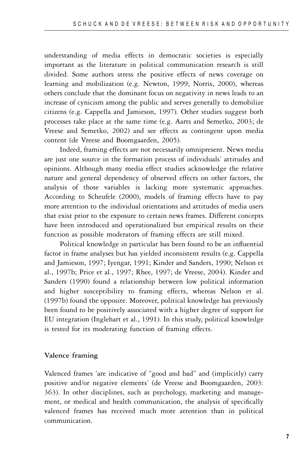understanding of media effects in democratic societies is especially important as the literature in political communication research is still divided. Some authors stress the positive effects of news coverage on learning and mobilization (e.g. Newton, 1999; Norris, 2000), whereas others conclude that the dominant focus on negativity in news leads to an increase of cynicism among the public and serves generally to demobilize citizens (e.g. Cappella and Jamieson, 1997). Other studies suggest both processes take place at the same time (e.g. Aarts and Semetko, 2003; de Vreese and Semetko, 2002) and see effects as contingent upon media content (de Vreese and Boomgaarden, 2005).

Indeed, framing effects are not necessarily omnipresent. News media are just one source in the formation process of individuals' attitudes and opinions. Although many media effect studies acknowledge the relative nature and general dependency of observed effects on other factors, the analysis of those variables is lacking more systematic approaches. According to Scheufele (2000), models of framing effects have to pay more attention to the individual orientations and attitudes of media users that exist prior to the exposure to certain news frames. Different concepts have been introduced and operationalized but empirical results on their function as possible moderators of framing effects are still mixed.

Political knowledge in particular has been found to be an influential factor in frame analyses but has yielded inconsistent results (e.g. Cappella and Jamieson, 1997; Iyengar, 1991; Kinder and Sanders, 1990; Nelson et al., 1997b; Price et al., 1997; Rhee, 1997; de Vreese, 2004). Kinder and Sanders (1990) found a relationship between low political information and higher susceptibility to framing effects, whereas Nelson et al. (1997b) found the opposite. Moreover, political knowledge has previously been found to be positively associated with a higher degree of support for EU integration (Inglehart et al., 1991). In this study, political knowledge is tested for its moderating function of framing effects.

#### **Valence framing**

Valenced frames 'are indicative of "good and bad" and (implicitly) carry positive and/or negative elements' (de Vreese and Boomgaarden, 2003: 363). In other disciplines, such as psychology, marketing and management, or medical and health communication, the analysis of specifically valenced frames has received much more attention than in political communication.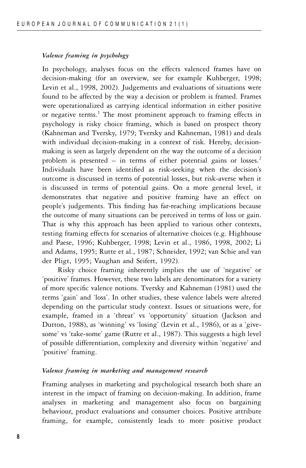#### *Valence framing in psychology*

In psychology, analyses focus on the effects valenced frames have on decision-making (for an overview, see for example Kuhberger, 1998; Levin et al., 1998, 2002). Judgements and evaluations of situations were found to be affected by the way a decision or problem is framed. Frames were operationalized as carrying identical information in either positive or negative terms.<sup>1</sup> The most prominent approach to framing effects in psychology is risky choice framing, which is based on prospect theory (Kahneman and Tversky, 1979; Tversky and Kahneman, 1981) and deals with individual decision-making in a context of risk. Hereby, decisionmaking is seen as largely dependent on the way the outcome of a decision problem is presented – in terms of either potential gains or losses.<sup>2</sup> Individuals have been identified as risk-seeking when the decision's outcome is discussed in terms of potential losses, but risk-averse when it is discussed in terms of potential gains. On a more general level, it demonstrates that negative and positive framing have an effect on people's judgements. This finding has far-reaching implications because the outcome of many situations can be perceived in terms of loss or gain. That is why this approach has been applied to various other contexts, testing framing effects for scenarios of alternative choices (e.g. Highhouse and Paese, 1996; Kuhberger, 1998; Levin et al., 1986, 1998, 2002; Li and Adams, 1995; Rutte et al., 1987; Schneider, 1992; van Schie and van der Pligt, 1995; Vaughan and Seifert, 1992).

Risky choice framing inherently implies the use of 'negative' or 'positive' frames. However, these two labels are denominators for a variety of more specific valence notions. Tversky and Kahneman (1981) used the terms 'gain' and 'loss'. In other studies, these valence labels were altered depending on the particular study context. Issues or situations were, for example, framed in a 'threat' vs 'opportunity' situation (Jackson and Dutton, 1988), as 'winning' vs 'losing' (Levin et al., 1986), or as a 'givesome' vs 'take-some' game (Rutte et al., 1987). This suggests a high level of possible differentiation, complexity and diversity within 'negative' and 'positive' framing.

#### *Valence framing in marketing and management research*

Framing analyses in marketing and psychological research both share an interest in the impact of framing on decision-making. In addition, frame analyses in marketing and management also focus on bargaining behaviour, product evaluations and consumer choices. Positive attribute framing, for example, consistently leads to more positive product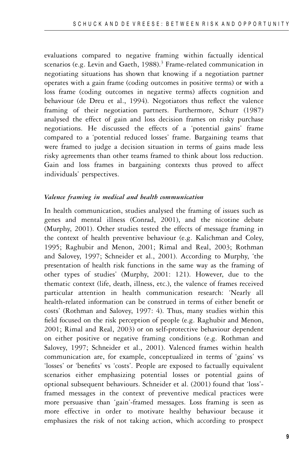evaluations compared to negative framing within factually identical scenarios (e.g. Levin and Gaeth,  $1988$ ).<sup>3</sup> Frame-related communication in negotiating situations has shown that knowing if a negotiation partner operates with a gain frame (coding outcomes in positive terms) or with a loss frame (coding outcomes in negative terms) affects cognition and behaviour (de Dreu et al., 1994). Negotiators thus reflect the valence framing of their negotiation partners. Furthermore, Schurr (1987) analysed the effect of gain and loss decision frames on risky purchase negotiations. He discussed the effects of a 'potential gains' frame compared to a 'potential reduced losses' frame. Bargaining teams that were framed to judge a decision situation in terms of gains made less risky agreements than other teams framed to think about loss reduction. Gain and loss frames in bargaining contexts thus proved to affect individuals' perspectives.

#### *Valence framing in medical and health communication*

In health communication, studies analysed the framing of issues such as genes and mental illness (Conrad, 2001), and the nicotine debate (Murphy, 2001). Other studies tested the effects of message framing in the context of health preventive behaviour (e.g. Kalichman and Coley, 1995; Raghubir and Menon, 2001; Rimal and Real, 2003; Rothman and Salovey, 1997; Schneider et al., 2001). According to Murphy, 'the presentation of health risk functions in the same way as the framing of other types of studies' (Murphy, 2001: 121). However, due to the thematic context (life, death, illness, etc.), the valence of frames received particular attention in health communication research: 'Nearly all health-related information can be construed in terms of either benefit or costs' (Rothman and Salovey, 1997: 4). Thus, many studies within this field focused on the risk perception of people (e.g. Raghubir and Menon, 2001; Rimal and Real, 2003) or on self-protective behaviour dependent on either positive or negative framing conditions (e.g. Rothman and Salovey, 1997; Schneider et al., 2001). Valenced frames within health communication are, for example, conceptualized in terms of 'gains' vs 'losses' or 'benefits' vs 'costs'. People are exposed to factually equivalent scenarios either emphasizing potential losses or potential gains of optional subsequent behaviours. Schneider et al. (2001) found that 'loss' framed messages in the context of preventive medical practices were more persuasive than 'gain'-framed messages. Loss framing is seen as more effective in order to motivate healthy behaviour because it emphasizes the risk of not taking action, which according to prospect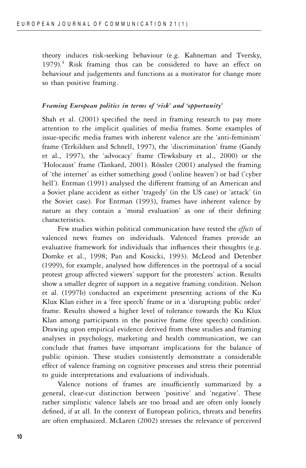theory induces risk-seeking behaviour (e.g. Kahneman and Tversky, 1979). $4$  Risk framing thus can be considered to have an effect on behaviour and judgements and functions as a motivator for change more so than positive framing.

#### *Framing European politics in terms of 'risk' and 'opportunity'*

Shah et al. (2001) specified the need in framing research to pay more attention to the implicit qualities of media frames. Some examples of issue-specific media frames with inherent valence are the 'anti-feminism' frame (Terkildsen and Schnell, 1997), the 'discrimination' frame (Gandy et al., 1997), the 'advocacy' frame (Tewksbury et al., 2000) or the 'Holocaust' frame (Tankard, 2001). Rössler (2001) analysed the framing of 'the internet' as either something good ('online heaven') or bad ('cyber hell'). Entman (1991) analysed the different framing of an American and a Soviet plane accident as either 'tragedy' (in the US case) or 'attack' (in the Soviet case). For Entman (1993), frames have inherent valence by nature as they contain a 'moral evaluation' as one of their defining characteristics.

Few studies within political communication have tested the *effects* of valenced news frames on individuals. Valenced frames provide an evaluative framework for individuals that influences their thoughts (e.g. Domke et al., 1998; Pan and Kosicki, 1993). McLeod and Detenber (1999), for example, analysed how differences in the portrayal of a social protest group affected viewers' support for the protesters' action. Results show a smaller degree of support in a negative framing condition. Nelson et al. (1997b) conducted an experiment presenting actions of the Ku Klux Klan either in a 'free speech' frame or in a 'disrupting public order' frame. Results showed a higher level of tolerance towards the Ku Klux Klan among participants in the positive frame (free speech) condition. Drawing upon empirical evidence derived from these studies and framing analyses in psychology, marketing and health communication, we can conclude that frames have important implications for the balance of public opinion. These studies consistently demonstrate a considerable effect of valence framing on cognitive processes and stress their potential to guide interpretations and evaluations of individuals.

Valence notions of frames are insufficiently summarized by a general, clear-cut distinction between 'positive' and 'negative'. These rather simplistic valence labels are too broad and are often only loosely defined, if at all. In the context of European politics, threats and benefits are often emphasized. McLaren (2002) stresses the relevance of perceived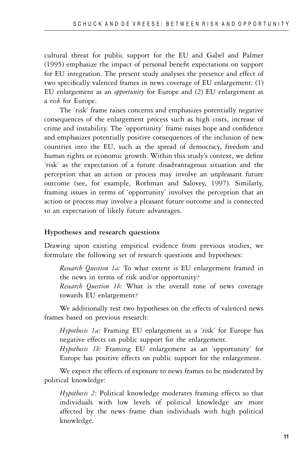cultural threat for public support for the EU and Gabel and Palmer (1995) emphasize the impact of personal benefit expectations on support for EU integration. The present study analyses the presence and effect of two specifically valenced frames in news coverage of EU enlargement: (1) EU enlargement as an *opportunity* for Europe and (2) EU enlargement as a *risk* for Europe.

The 'risk' frame raises concerns and emphasizes potentially negative consequences of the enlargement process such as high costs, increase of crime and instability. The 'opportunity' frame raises hope and confidence and emphasizes potentially positive consequences of the inclusion of new countries into the EU, such as the spread of democracy, freedom and human rights or economic growth. Within this study's context, we define 'risk' as the expectation of a future disadvantageous situation and the perception that an action or process may involve an unpleasant future outcome (see, for example, Rothman and Salovey, 1997). Similarly, framing issues in terms of 'opportunity' involves the perception that an action or process may involve a pleasant future outcome and is connected to an expectation of likely future advantages.

# **Hypotheses and research questions**

Drawing upon existing empirical evidence from previous studies, we formulate the following set of research questions and hypotheses:

*Research Question 1a:* To what extent is EU enlargement framed in the news in terms of risk and/or opportunity?

*Research Question 1b:* What is the overall tone of news coverage towards EU enlargement?

We additionally test two hypotheses on the effects of valenced news frames based on previous research:

*Hypothesis 1a:* Framing EU enlargement as a 'risk' for Europe has negative effects on public support for the enlargement.

*Hypothesis 1b:* Framing EU enlargement as an 'opportunity' for Europe has positive effects on public support for the enlargement.

We expect the effects of exposure to news frames to be moderated by political knowledge:

*Hypothesis 2:* Political knowledge moderates framing effects so that individuals with low levels of political knowledge are more affected by the news frame than individuals with high political knowledge.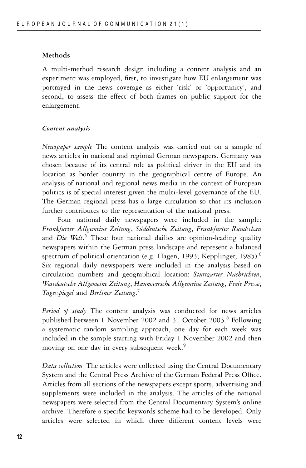# **Methods**

A multi-method research design including a content analysis and an experiment was employed, first, to investigate how EU enlargement was portrayed in the news coverage as either 'risk' or 'opportunity', and second, to assess the effect of both frames on public support for the enlargement.

# *Content analysis*

*Newspaper sample* The content analysis was carried out on a sample of news articles in national and regional German newspapers. Germany was chosen because of its central role as political driver in the EU and its location as border country in the geographical centre of Europe. An analysis of national and regional news media in the context of European politics is of special interest given the multi-level governance of the EU. The German regional press has a large circulation so that its inclusion further contributes to the representation of the national press.

Four national daily newspapers were included in the sample: *Frankfurter Allgemeine Zeitung*, *S¨uddeutsche Zeitung*, *Frankfurter Rundschau* and *Die Welt*. <sup>5</sup> These four national dailies are opinion-leading quality newspapers within the German press landscape and represent a balanced spectrum of political orientation (e.g. Hagen, 1993; Kepplinger, 1985).<sup>6</sup> Six regional daily newspapers were included in the analysis based on circulation numbers and geographical location: *Stuttgarter Nachrichten*, *Westdeutsche Allgemeine Zeitung*, *Hannoversche Allgemeine Zeitung*, *Freie Presse*, *Tagesspiegel* and *Berliner Zeitung*. 7

*Period of study* The content analysis was conducted for news articles published between 1 November 2002 and 31 October 2003.<sup>8</sup> Following a systematic random sampling approach, one day for each week was included in the sample starting with Friday 1 November 2002 and then moving on one day in every subsequent week.<sup>9</sup>

*Data collection* The articles were collected using the Central Documentary System and the Central Press Archive of the German Federal Press Office. Articles from all sections of the newspapers except sports, advertising and supplements were included in the analysis. The articles of the national newspapers were selected from the Central Documentary System's online archive. Therefore a specific keywords scheme had to be developed. Only articles were selected in which three different content levels were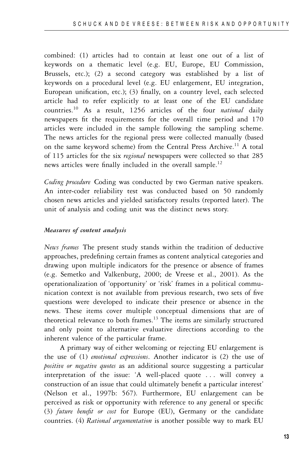combined: (1) articles had to contain at least one out of a list of keywords on a thematic level (e.g. EU, Europe, EU Commission, Brussels, etc.); (2) a second category was established by a list of keywords on a procedural level (e.g. EU enlargement, EU integration, European unification, etc.); (3) finally, on a country level, each selected article had to refer explicitly to at least one of the EU candidate countries.<sup>10</sup> As a result, 1256 articles of the four *national* daily newspapers fit the requirements for the overall time period and 170 articles were included in the sample following the sampling scheme. The news articles for the regional press were collected manually (based on the same keyword scheme) from the Central Press Archive.<sup>11</sup> A total of 115 articles for the six *regional* newspapers were collected so that 285 news articles were finally included in the overall sample.<sup>12</sup>

*Coding procedure* Coding was conducted by two German native speakers. An inter-coder reliability test was conducted based on 50 randomly chosen news articles and yielded satisfactory results (reported later). The unit of analysis and coding unit was the distinct news story.

# *Measures of content analysis*

*News frames* The present study stands within the tradition of deductive approaches, predefining certain frames as content analytical categories and drawing upon multiple indicators for the presence or absence of frames (e.g. Semetko and Valkenburg, 2000; de Vreese et al., 2001). As the operationalization of 'opportunity' or 'risk' frames in a political communication context is not available from previous research, two sets of five questions were developed to indicate their presence or absence in the news. These items cover multiple conceptual dimensions that are of theoretical relevance to both frames.<sup>13</sup> The items are similarly structured and only point to alternative evaluative directions according to the inherent valence of the particular frame.

A primary way of either welcoming or rejecting EU enlargement is the use of (1) *emotional expressions*. Another indicator is (2) the use of *positive or negative quotes* as an additional source suggesting a particular interpretation of the issue: 'A well-placed quote . . . will convey a construction of an issue that could ultimately benefit a particular interest' (Nelson et al., 1997b: 567). Furthermore, EU enlargement can be perceived as risk or opportunity with reference to any general or specific (3) *future benefit or cost* for Europe (EU), Germany or the candidate countries. (4) *Rational argumentation* is another possible way to mark EU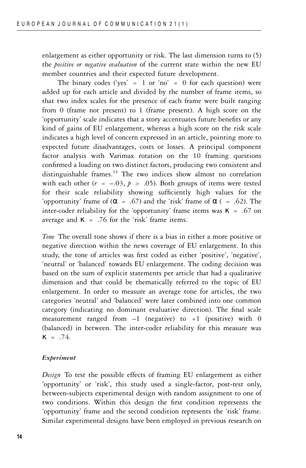enlargement as either opportunity or risk. The last dimension turns to (5) the *positive or negative evaluation* of the current state within the new EU member countries and their expected future development.

The binary codes ('yes' =  $1$  or 'no' =  $0$  for each question) were added up for each article and divided by the number of frame items, so that two index scales for the presence of each frame were built ranging from 0 (frame not present) to 1 (frame present). A high score on the 'opportunity' scale indicates that a story accentuates future benefits or any kind of gains of EU enlargement, whereas a high score on the risk scale indicates a high level of concern expressed in an article, pointing more to expected future disadvantages, costs or losses. A principal component factor analysis with Varimax rotation on the 10 framing questions confirmed a loading on two distinct factors, producing two consistent and distinguishable frames. $14$  The two indices show almost no correlation with each other  $(r = -.03, p > .05)$ . Both groups of items were tested for their scale reliability showing sufficiently high values for the 'opportunity' frame of  $(\alpha = .67)$  and the 'risk' frame of  $\alpha$  ( = .62). The inter-coder reliability for the 'opportunity' frame items was  $\kappa$  = .67 on average and  $\kappa$  = .76 for the 'risk' frame items.

*Tone* The overall tone shows if there is a bias in either a more positive or negative direction within the news coverage of EU enlargement. In this study, the tone of articles was first coded as either 'positive', 'negative', 'neutral' or 'balanced' towards EU enlargement. The coding decision was based on the sum of explicit statements per article that had a qualitative dimension and that could be thematically referred to the topic of EU enlargement. In order to measure an average tone for articles, the two categories 'neutral' and 'balanced' were later combined into one common category (indicating no dominant evaluative direction). The final scale measurement ranged from  $-1$  (negative) to  $+1$  (positive) with 0 (balanced) in between. The inter-coder reliability for this measure was  $\kappa$  = .74.

#### *Experiment*

*Design* To test the possible effects of framing EU enlargement as either 'opportunity' or 'risk', this study used a single-factor, post-test only, between-subjects experimental design with random assignment to one of two conditions. Within this design the first condition represents the 'opportunity' frame and the second condition represents the 'risk' frame. Similar experimental designs have been employed in previous research on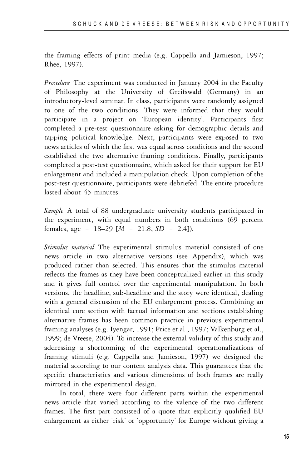the framing effects of print media (e.g. Cappella and Jamieson, 1997; Rhee, 1997).

*Procedure* The experiment was conducted in January 2004 in the Faculty of Philosophy at the University of Greifswald (Germany) in an introductory-level seminar. In class, participants were randomly assigned to one of the two conditions. They were informed that they would participate in a project on 'European identity'. Participants first completed a pre-test questionnaire asking for demographic details and tapping political knowledge. Next, participants were exposed to two news articles of which the first was equal across conditions and the second established the two alternative framing conditions. Finally, participants completed a post-test questionnaire, which asked for their support for EU enlargement and included a manipulation check. Upon completion of the post-test questionnaire, participants were debriefed. The entire procedure lasted about 45 minutes.

*Sample* A total of 88 undergraduate university students participated in the experiment, with equal numbers in both conditions (69 percent females, age = 18–29 [*M* = 21.8, *SD* = 2.4]).

*Stimulus material* The experimental stimulus material consisted of one news article in two alternative versions (see Appendix), which was produced rather than selected. This ensures that the stimulus material reflects the frames as they have been conceptualized earlier in this study and it gives full control over the experimental manipulation. In both versions, the headline, sub-headline and the story were identical, dealing with a general discussion of the EU enlargement process. Combining an identical core section with factual information and sections establishing alternative frames has been common practice in previous experimental framing analyses (e.g. Iyengar, 1991; Price et al., 1997; Valkenburg et al., 1999; de Vreese, 2004). To increase the external validity of this study and addressing a shortcoming of the experimental operationalizations of framing stimuli (e.g. Cappella and Jamieson, 1997) we designed the material according to our content analysis data. This guarantees that the specific characteristics and various dimensions of both frames are really mirrored in the experimental design.

In total, there were four different parts within the experimental news article that varied according to the valence of the two different frames. The first part consisted of a quote that explicitly qualified EU enlargement as either 'risk' or 'opportunity' for Europe without giving a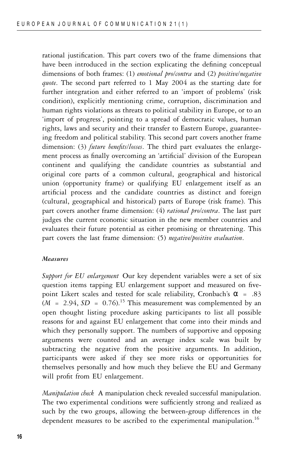rational justification. This part covers two of the frame dimensions that have been introduced in the section explicating the defining conceptual dimensions of both frames: (1) *emotional pro/contra* and (2) *positive/negative quote*. The second part referred to 1 May 2004 as the starting date for further integration and either referred to an 'import of problems' (risk condition), explicitly mentioning crime, corruption, discrimination and human rights violations as threats to political stability in Europe, or to an 'import of progress', pointing to a spread of democratic values, human rights, laws and security and their transfer to Eastern Europe, guaranteeing freedom and political stability. This second part covers another frame dimension: (3) *future benefits/losses*. The third part evaluates the enlargement process as finally overcoming an 'artificial' division of the European continent and qualifying the candidate countries as substantial and original core parts of a common cultural, geographical and historical union (opportunity frame) or qualifying EU enlargement itself as an artificial process and the candidate countries as distinct and foreign (cultural, geographical and historical) parts of Europe (risk frame). This part covers another frame dimension: (4) *rational pro/contra*. The last part judges the current economic situation in the new member countries and evaluates their future potential as either promising or threatening. This part covers the last frame dimension: (5) *negative/positive evaluation*.

#### *Measures*

*Support for EU enlargement* Our key dependent variables were a set of six question items tapping EU enlargement support and measured on fivepoint Likert scales and tested for scale reliability, Cronbach's  $\alpha$  = .83  $(M = 2.94, SD = 0.76).$ <sup>15</sup> This measurement was complemented by an open thought listing procedure asking participants to list all possible reasons for and against EU enlargement that come into their minds and which they personally support. The numbers of supportive and opposing arguments were counted and an average index scale was built by subtracting the negative from the positive arguments. In addition, participants were asked if they see more risks or opportunities for themselves personally and how much they believe the EU and Germany will profit from EU enlargement.

*Manipulation check* A manipulation check revealed successful manipulation. The two experimental conditions were sufficiently strong and realized as such by the two groups, allowing the between-group differences in the dependent measures to be ascribed to the experimental manipulation.<sup>16</sup>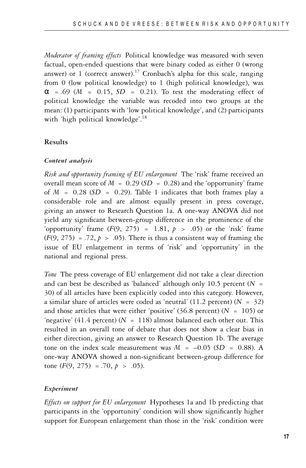*Moderator of framing effects* Political knowledge was measured with seven factual, open-ended questions that were binary coded as either 0 (wrong answer) or 1 (correct answer).<sup>17</sup> Cronbach's alpha for this scale, ranging from 0 (low political knowledge) to 1 (high political knowledge), was  $\alpha$  = .69 ( $M$  = 0.15,  $SD$  = 0.21). To test the moderating effect of political knowledge the variable was recoded into two groups at the mean: (1) participants with 'low political knowledge', and (2) participants with 'high political knowledge'. 18

#### **Results**

#### *Content analysis*

*Risk and opportunity framing of EU enlargement* The 'risk' frame received an overall mean score of  $M = 0.29$  ( $SD = 0.28$ ) and the 'opportunity' frame of  $M = 0.28$  ( $SD = 0.29$ ). Table 1 indicates that both frames play a considerable role and are almost equally present in press coverage, giving an answer to Research Question 1a. A one-way ANOVA did not yield any significant between-group difference in the prominence of the 'opportunity' frame  $(F(9, 275) = 1.81, p > .05)$  or the 'risk' frame  $(F(9, 275) = .72, p > .05)$ . There is thus a consistent way of framing the issue of EU enlargement in terms of 'risk' and 'opportunity' in the national and regional press.

*Tone* The press coverage of EU enlargement did not take a clear direction and can best be described as 'balanced' although only 10.5 percent (*N =* 30) of all articles have been explicitly coded into this category. However, a similar share of articles were coded as 'neutral' (11.2 percent) (*N* = 32) and those articles that were either 'positive' (36.8 percent) ( $N = 105$ ) or 'negative' (41.4 percent) ( $N = 118$ ) almost balanced each other out. This resulted in an overall tone of debate that does not show a clear bias in either direction, giving an answer to Research Question 1b. The average tone on the index scale measurement was  $M = -0.05$  ( $SD = 0.88$ ). A one-way ANOVA showed a non-significant between-group difference for tone  $(F(9, 275) = .70, p > .05)$ .

#### *Experiment*

*Effects on support for EU enlargement* Hypotheses 1a and 1b predicting that participants in the 'opportunity' condition will show significantly higher support for European enlargement than those in the 'risk' condition were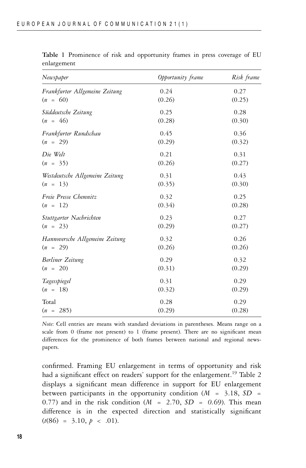| Newspaper                       | Opportunity frame | Risk frame |  |
|---------------------------------|-------------------|------------|--|
| Frankfurter Allgemeine Zeitung  | 0.24              | 0.27       |  |
| $(n = 60)$                      | (0.26)            | (0.25)     |  |
| Süddeutsche Zeitung             | 0.25              | 0.28       |  |
| $(n = 46)$                      | (0.28)            | (0.30)     |  |
| Frankfurter Rundschau           | 0.45              | 0.36       |  |
| $(n = 29)$                      | (0.29)            | (0.32)     |  |
| Die Welt                        | 0.21              | 0.31       |  |
| $(n = 35)$                      | (0.26)            | (0.27)     |  |
| Westdeutsche Allgemeine Zeitung | 0.31              | 0.43       |  |
| $(n = 13)$                      | (0.35)            | (0.30)     |  |
| Freie Presse Chemnitz           | 0.32              | 0.25       |  |
| $(n = 12)$                      | (0.34)            | (0.28)     |  |
| Stuttgarter Nachrichten         | 0.23              | 0.27       |  |
| $(n = 23)$                      | (0.29)            | (0.27)     |  |
| Hannoversche Allgemeine Zeitung | 0.32              | 0.26       |  |
| $(n = 29)$                      | (0.26)            | (0.26)     |  |
| Berliner Zeitung                | 0.29              | 0.32       |  |
| $(n = 20)$                      | (0.31)            | (0.29)     |  |
| Tagesspiegel                    | 0.31              | 0.29       |  |
| $(n = 18)$                      | (0.32)            | (0.29)     |  |
| Total                           | 0.28              | 0.29       |  |
| $(n = 285)$                     | (0.29)            | (0.28)     |  |

**Table 1** Prominence of risk and opportunity frames in press coverage of EU enlargement

*Note*: Cell entries are means with standard deviations in parentheses. Means range on a scale from 0 (frame not present) to 1 (frame present). There are no significant mean differences for the prominence of both frames between national and regional newspapers.

confirmed. Framing EU enlargement in terms of opportunity and risk had a significant effect on readers' support for the enlargement.<sup>19</sup> Table 2 displays a significant mean difference in support for EU enlargement between participants in the opportunity condition (*M* = 3.18, *SD* = 0.77) and in the risk condition (*M* = 2.70, *SD = 0.*69). This mean difference is in the expected direction and statistically significant  $(t(86) = 3.10, p < .01)$ .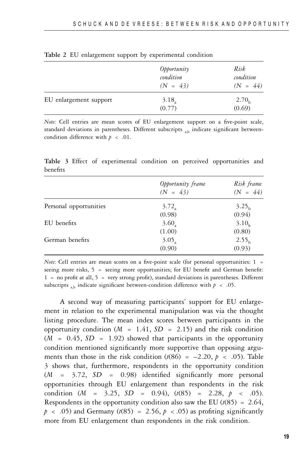|                        | Opportunity<br>condition<br>$(N = 43)$ | Risk<br>condition<br>$(N = 44)$ |
|------------------------|----------------------------------------|---------------------------------|
| EU enlargement support | 3.18<br>(0.77)                         | 2.70 <sub>b</sub><br>(0.69)     |

|  |  |  |  |  | Table 2 EU enlargement support by experimental condition |  |
|--|--|--|--|--|----------------------------------------------------------|--|
|--|--|--|--|--|----------------------------------------------------------|--|

*Note*: Cell entries are mean scores of EU enlargement support on a five-point scale, standard deviations in parentheses. Different subscripts  $_{ab}$  indicate significant betweencondition difference with  $p < .01$ .

**Table 3** Effect of experimental condition on perceived opportunities and benefits

|                        | Opportunity frame<br>$(N = 43)$ | Risk frame<br>$(N = 44)$ |
|------------------------|---------------------------------|--------------------------|
| Personal opportunities | $3.72$ <sub>a</sub>             | 3.25 <sub>h</sub>        |
|                        | (0.98)                          | (0.94)                   |
| EU benefits            | $3.60_a$                        | 3.10 <sub>b</sub>        |
|                        | (1.00)                          | (0.80)                   |
| German benefits        | $3.05$ <sub>a</sub>             | 2.55 <sub>b</sub>        |
|                        | (0.90)                          | (0.93)                   |

*Note*: Cell entries are mean scores on a five-point scale (for personal opportunities: 1 = seeing more risks,  $5 =$  seeing more opportunities; for EU benefit and German benefit: 1 = no profit at all, 5 = very strong profit), standard deviations in parentheses. Different subscripts  $_{ab}$  indicate significant between-condition difference with  $p < .05$ .

A second way of measuring participants' support for EU enlargement in relation to the experimental manipulation was via the thought listing procedure. The mean index scores between participants in the opportunity condition  $(M = 1.41, SD = 2.15)$  and the risk condition  $(M = 0.45, SD = 1.92)$  showed that participants in the opportunity condition mentioned significantly more supportive than opposing arguments than those in the risk condition  $(t(86) = -2.20, p < .05)$ . Table 3 shows that, furthermore, respondents in the opportunity condition (*M* = 3.72, *SD* = 0.98) identified significantly more personal opportunities through EU enlargement than respondents in the risk condition  $(M = 3.25, SD = 0.94)$ ,  $(t(85) = 2.28, p < .05)$ . Respondents in the opportunity condition also saw the EU  $(t(85) = 2.64$ ,  $p \sim .05$ ) and Germany ( $t(85) = 2.56$ ,  $p \sim .05$ ) as profiting significantly more from EU enlargement than respondents in the risk condition.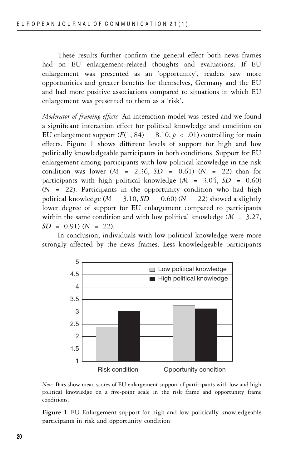These results further confirm the general effect both news frames had on EU enlargement-related thoughts and evaluations. If EU enlargement was presented as an 'opportunity', readers saw more opportunities and greater benefits for themselves, Germany and the EU and had more positive associations compared to situations in which EU enlargement was presented to them as a 'risk'.

*Moderator of framing effects* An interaction model was tested and we found a significant interaction effect for political knowledge and condition on EU enlargement support  $(F(1, 84) = 8.10, p < .01)$  controlling for main effects. Figure 1 shows different levels of support for high and low politically knowledgeable participants in both conditions. Support for EU enlargement among participants with low political knowledge in the risk condition was lower (*M* = 2.36, *SD* = 0.61) (*N* = 22) than for participants with high political knowledge (*M* = 3.04, *SD* = 0.60)  $(N = 22)$ . Participants in the opportunity condition who had high political knowledge ( $M = 3.10$ ,  $SD = 0.60$ ) ( $N = 22$ ) showed a slightly lower degree of support for EU enlargement compared to participants within the same condition and with low political knowledge (*M* = 3.27,  $SD = 0.91$   $(N = 22)$ .

In conclusion, individuals with low political knowledge were more strongly affected by the news frames. Less knowledgeable participants



*Note*: Bars show mean scores of EU enlargement support of participants with low and high political knowledge on a five-point scale in the risk frame and opportunity frame conditions.

**Figure 1** EU Enlargement support for high and low politically knowledgeable participants in risk and opportunity condition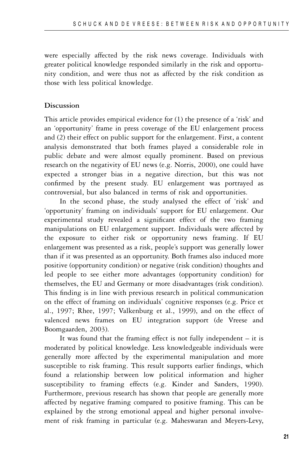were especially affected by the risk news coverage. Individuals with greater political knowledge responded similarly in the risk and opportunity condition, and were thus not as affected by the risk condition as those with less political knowledge.

## **Discussion**

This article provides empirical evidence for (1) the presence of a 'risk' and an 'opportunity' frame in press coverage of the EU enlargement process and (2) their effect on public support for the enlargement. First, a content analysis demonstrated that both frames played a considerable role in public debate and were almost equally prominent. Based on previous research on the negativity of EU news (e.g. Norris, 2000), one could have expected a stronger bias in a negative direction, but this was not confirmed by the present study. EU enlargement was portrayed as controversial, but also balanced in terms of risk and opportunities.

In the second phase, the study analysed the effect of 'risk' and 'opportunity' framing on individuals' support for EU enlargement. Our experimental study revealed a significant effect of the two framing manipulations on EU enlargement support. Individuals were affected by the exposure to either risk or opportunity news framing. If EU enlargement was presented as a risk, people's support was generally lower than if it was presented as an opportunity. Both frames also induced more positive (opportunity condition) or negative (risk condition) thoughts and led people to see either more advantages (opportunity condition) for themselves, the EU and Germany or more disadvantages (risk condition). This finding is in line with previous research in political communication on the effect of framing on individuals' cognitive responses (e.g. Price et al., 1997; Rhee, 1997; Valkenburg et al., 1999), and on the effect of valenced news frames on EU integration support (de Vreese and Boomgaarden, 2003).

It was found that the framing effect is not fully independent  $-$  it is moderated by political knowledge. Less knowledgeable individuals were generally more affected by the experimental manipulation and more susceptible to risk framing. This result supports earlier findings, which found a relationship between low political information and higher susceptibility to framing effects (e.g. Kinder and Sanders, 1990). Furthermore, previous research has shown that people are generally more affected by negative framing compared to positive framing. This can be explained by the strong emotional appeal and higher personal involvement of risk framing in particular (e.g. Maheswaran and Meyers-Levy,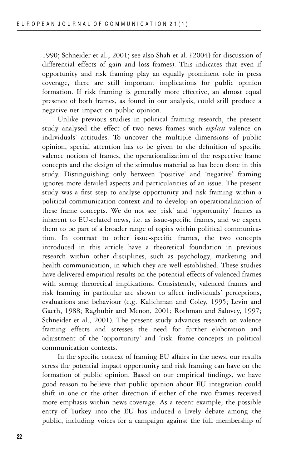1990; Schneider et al., 2001; see also Shah et al. [2004] for discussion of differential effects of gain and loss frames). This indicates that even if opportunity and risk framing play an equally prominent role in press coverage, there are still important implications for public opinion formation. If risk framing is generally more effective, an almost equal presence of both frames, as found in our analysis, could still produce a negative net impact on public opinion.

Unlike previous studies in political framing research, the present study analysed the effect of two news frames with *explicit* valence on individuals' attitudes. To uncover the multiple dimensions of public opinion, special attention has to be given to the definition of specific valence notions of frames, the operationalization of the respective frame concepts and the design of the stimulus material as has been done in this study. Distinguishing only between 'positive' and 'negative' framing ignores more detailed aspects and particularities of an issue. The present study was a first step to analyse opportunity and risk framing within a political communication context and to develop an operationalization of these frame concepts. We do not see 'risk' and 'opportunity' frames as inherent to EU-related news, i.e. as issue-specific frames, and we expect them to be part of a broader range of topics within political communication. In contrast to other issue-specific frames, the two concepts introduced in this article have a theoretical foundation in previous research within other disciplines, such as psychology, marketing and health communication, in which they are well established. These studies have delivered empirical results on the potential effects of valenced frames with strong theoretical implications. Consistently, valenced frames and risk framing in particular are shown to affect individuals' perceptions, evaluations and behaviour (e.g. Kalichman and Coley, 1995; Levin and Gaeth, 1988; Raghubir and Menon, 2001; Rothman and Salovey, 1997; Schneider et al., 2001). The present study advances research on valence framing effects and stresses the need for further elaboration and adjustment of the 'opportunity' and 'risk' frame concepts in political communication contexts.

In the specific context of framing EU affairs in the news, our results stress the potential impact opportunity and risk framing can have on the formation of public opinion. Based on our empirical findings, we have good reason to believe that public opinion about EU integration could shift in one or the other direction if either of the two frames received more emphasis within news coverage. As a recent example, the possible entry of Turkey into the EU has induced a lively debate among the public, including voices for a campaign against the full membership of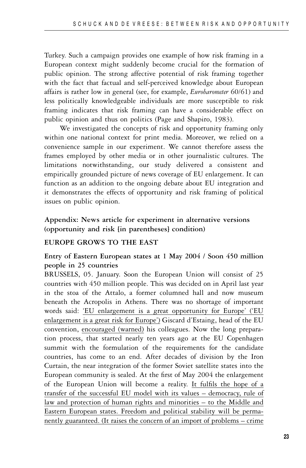Turkey. Such a campaign provides one example of how risk framing in a European context might suddenly become crucial for the formation of public opinion. The strong affective potential of risk framing together with the fact that factual and self-perceived knowledge about European affairs is rather low in general (see, for example, *Eurobarometer* 60/61) and less politically knowledgeable individuals are more susceptible to risk framing indicates that risk framing can have a considerable effect on public opinion and thus on politics (Page and Shapiro, 1983).

We investigated the concepts of risk and opportunity framing only within one national context for print media. Moreover, we relied on a convenience sample in our experiment. We cannot therefore assess the frames employed by other media or in other journalistic cultures. The limitations notwithstanding, our study delivered a consistent and empirically grounded picture of news coverage of EU enlargement. It can function as an addition to the ongoing debate about EU integration and it demonstrates the effects of opportunity and risk framing of political issues on public opinion.

# **Appendix: News article for experiment in alternative versions (opportunity and risk [in parentheses] condition)**

# **EUROPE GROWS TO THE EAST**

# **Entry of Eastern European states at 1 May 2004 / Soon 450 million people in 25 countries**

BRUSSELS, 05. January. Soon the European Union will consist of 25 countries with 450 million people. This was decided on in April last year in the stoa of the Attalo, a former columned hall and now museum beneath the Acropolis in Athens. There was no shortage of important words said: 'EU enlargement is a great opportunity for Europe' ('EU enlargement is a great risk for Europe') Giscard d'Estaing, head of the EU convention, encouraged (warned) his colleagues. Now the long preparation process, that started nearly ten years ago at the EU Copenhagen summit with the formulation of the requirements for the candidate countries, has come to an end. After decades of division by the Iron Curtain, the near integration of the former Soviet satellite states into the European community is sealed. At the first of May 2004 the enlargement of the European Union will become a reality. It fulfils the hope of a transfer of the successful EU model with its values – democracy, rule of law and protection of human rights and minorities – to the Middle and Eastern European states. Freedom and political stability will be permanently guaranteed. (It raises the concern of an import of problems – crime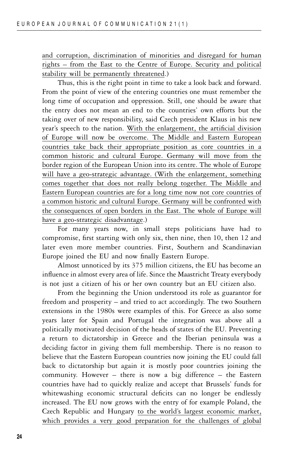and corruption, discrimination of minorities and disregard for human rights – from the East to the Centre of Europe. Security and political stability will be permanently threatened.)

Thus, this is the right point in time to take a look back and forward. From the point of view of the entering countries one must remember the long time of occupation and oppression. Still, one should be aware that the entry does not mean an end to the countries' own efforts but the taking over of new responsibility, said Czech president Klaus in his new year's speech to the nation. With the enlargement, the artificial division of Europe will now be overcome. The Middle and Eastern European countries take back their appropriate position as core countries in a common historic and cultural Europe. Germany will move from the border region of the European Union into its centre. The whole of Europe will have a geo-strategic advantage. (With the enlargement, something comes together that does not really belong together. The Middle and Eastern European countries are for a long time now not core countries of a common historic and cultural Europe. Germany will be confronted with the consequences of open borders in the East. The whole of Europe will have a geo-strategic disadvantage.)

For many years now, in small steps politicians have had to compromise, first starting with only six, then nine, then 10, then 12 and later even more member countries. First, Southern and Scandinavian Europe joined the EU and now finally Eastern Europe.

Almost unnoticed by its 375 million citizens, the EU has become an influence in almost every area of life. Since the Maastricht Treaty everybody is not just a citizen of his or her own country but an EU citizen also.

From the beginning the Union understood its role as guarantor for freedom and prosperity – and tried to act accordingly. The two Southern extensions in the 1980s were examples of this. For Greece as also some years later for Spain and Portugal the integration was above all a politically motivated decision of the heads of states of the EU. Preventing a return to dictatorship in Greece and the Iberian peninsula was a deciding factor in giving them full membership. There is no reason to believe that the Eastern European countries now joining the EU could fall back to dictatorship but again it is mostly poor countries joining the community. However – there is now a big difference – the Eastern countries have had to quickly realize and accept that Brussels' funds for whitewashing economic structural deficits can no longer be endlessly increased. The EU now grows with the entry of for example Poland, the Czech Republic and Hungary to the world's largest economic market, which provides a very good preparation for the challenges of global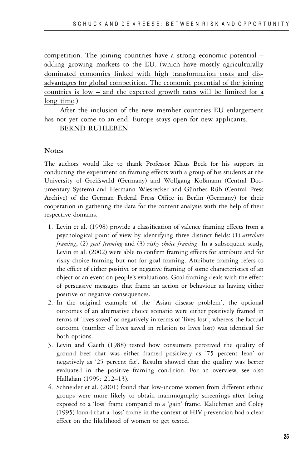competition. The joining countries have a strong economic potential – adding growing markets to the EU. (which have mostly agriculturally dominated economies linked with high transformation costs and disadvantages for global competition. The economic potential of the joining countries is low – and the expected growth rates will be limited for a long time.)

After the inclusion of the new member countries EU enlargement has not yet come to an end. Europe stays open for new applicants.

BERND RUHLEBEN

#### **Notes**

The authors would like to thank Professor Klaus Beck for his support in conducting the experiment on framing effects with a group of his students at the University of Greifswald (Germany) and Wolfgang Koßmann (Central Documentary System) and Hermann Wiesrecker and Günther Rüb (Central Press Archive) of the German Federal Press Office in Berlin (Germany) for their cooperation in gathering the data for the content analysis with the help of their respective domains.

- 1. Levin et al. (1998) provide a classification of valence framing effects from a psychological point of view by identifying three distinct fields: (1) *attribute framing*, (2) *goal framing* and (3) *risky choice framing*. In a subsequent study, Levin et al. (2002) were able to confirm framing effects for attribute and for risky choice framing but not for goal framing. Attribute framing refers to the effect of either positive or negative framing of some characteristics of an object or an event on people's evaluations. Goal framing deals with the effect of persuasive messages that frame an action or behaviour as having either positive or negative consequences.
- 2. In the original example of the 'Asian disease problem', the optional outcomes of an alternative choice scenario were either positively framed in terms of 'lives saved' or negatively in terms of 'lives lost', whereas the factual outcome (number of lives saved in relation to lives lost) was identical for both options.
- 3. Levin and Gaeth (1988) tested how consumers perceived the quality of ground beef that was either framed positively as '75 percent lean' or negatively as '25 percent fat'. Results showed that the quality was better evaluated in the positive framing condition. For an overview, see also Hallahan (1999: 212–13).
- 4. Schneider et al. (2001) found that low-income women from different ethnic groups were more likely to obtain mammography screenings after being exposed to a 'loss' frame compared to a 'gain' frame. Kalichman and Coley (1995) found that a 'loss' frame in the context of HIV prevention had a clear effect on the likelihood of women to get tested.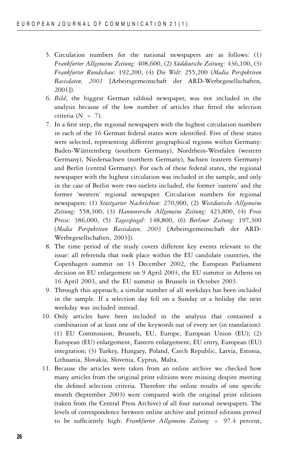- 5. Circulation numbers for the national newspapers are as follows: (1) *Frankfurter Allgemeine Zeitung*: 408,600, (2) *Süddeutsche Zeitung*: 436,100, (3) *Frankfurter Rundschau*: 192,200, (4) *Die Welt*: 255,200 (*Media Perspektiven Basisdaten, 2001* [Arbeitsgemeinschaft der ARD-Werbegesellschaften, 2001]).
- 6. *Bild*, the biggest German tabloid newspaper, was not included in the analysis because of the low number of articles that fitted the selection criteria (*N* = 7).
- 7. In a first step, the regional newspapers with the highest circulation numbers in each of the 16 German federal states were identified. Five of these states were selected, representing different geographical regions within Germany: Baden-Württemberg (southern Germany), Nordrhein-Westfalen (western Germany), Niedersachsen (northern Germany), Sachsen (eastern Germany) and Berlin (central Germany). For each of these federal states, the regional newspaper with the highest circulation was included in the sample, and only in the case of Berlin were two outlets included, the former 'eastern' and the former 'western' regional newspaper. Circulation numbers for regional newspapers: (1) *Stuttgarter Nachrichten*: 270,900, (2) *Westdeutsche Allgemeine Zeitung*: 558,300, (3) *Hannoversche Allgemeine Zeitung*: 423,800, (4) *Freie Presse*: 386,000, (5) *Tagesspiegel*: 148,800, (6) *Berliner Zeitung*: 197,300 (*Media Perspektiven Basisdaten, 2003* [Arbeitsgemeinschaft der ARD-Werbegesellschaften, 2003]).
- 8. The time period of the study covers different key events relevant to the issue: all referenda that took place within the EU candidate countries, the Copenhagen summit on 13 December 2002, the European Parliament decision on EU enlargement on 9 April 2003, the EU summit in Athens on 16 April 2003, and the EU summit in Brussels in October 2003.
- 9. Through this approach, a similar number of all weekdays has been included in the sample. If a selection day fell on a Sunday or a holiday the next weekday was included instead.
- 10. Only articles have been included in the analysis that contained a combination of at least one of the keywords out of every set (in translation): (1) EU Commission, Brussels, EU, Europe, European Union (EU); (2) European (EU) enlargement, Eastern enlargement, EU entry, European (EU) integration; (3) Turkey, Hungary, Poland, Czech Republic, Latvia, Estonia, Lithuania, Slovakia, Slovenia, Cyprus, Malta.
- 11. Because the articles were taken from an online archive we checked how many articles from the original print editions were missing despite meeting the defined selection criteria. Therefore the online results of one specific month (September 2003) were compared with the original print editions (taken from the Central Press Archive) of all four national newspapers. The levels of correspondence between online archive and printed editions proved to be sufficiently high: *Frankfurter Allgemeine Zeitung* = 97.4 percent,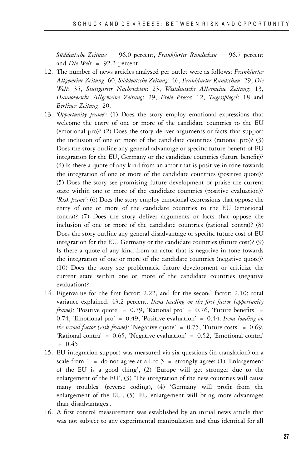*Suddeutsche Zeitung ¨* = 96.0 percent, *Frankfurter Rundschau* = 96.7 percent and *Die Welt* = 92.2 percent.

- 12. The number of news articles analysed per outlet were as follows: *Frankfurter Allgemeine Zeitung*: 60, *Suddeutsche Zeitung ¨* : 46, *Frankfurter Rundschau*: 29, *Die Welt*: 35, *Stuttgarter Nachrichten*: 23, *Westdeutsche Allgemeine Zeitung*: 13, *Hannoversche Allgemeine Zeitung*: 29, *Freie Presse*: 12, *Tagesspiegel*: 18 and *Berliner Zeitung*: 20.
- 13. *'Opportunity frame':* (1) Does the story employ emotional expressions that welcome the entry of one or more of the candidate countries to the EU (emotional pro)? (2) Does the story deliver arguments or facts that support the inclusion of one or more of the candidate countries (rational pro)? (3) Does the story outline any general advantage or specific future benefit of EU integration for the EU, Germany or the candidate countries (future benefit)? (4) Is there a quote of any kind from an actor that is positive in tone towards the integration of one or more of the candidate countries (positive quote)? (5) Does the story see promising future development or praise the current state within one or more of the candidate countries (positive evaluation)? *'Risk frame':* (6) Does the story employ emotional expressions that oppose the entry of one or more of the candidate countries to the EU (emotional contra)? (7) Does the story deliver arguments or facts that oppose the inclusion of one or more of the candidate countries (rational contra)? (8) Does the story outline any general disadvantage or specific future cost of EU integration for the EU, Germany or the candidate countries (future cost)? (9) Is there a quote of any kind from an actor that is negative in tone towards the integration of one or more of the candidate countries (negative quote)? (10) Does the story see problematic future development or criticize the current state within one or more of the candidate countries (negative evaluation)?
- 14. Eigenvalue for the first factor: 2.22, and for the second factor: 2.10; total variance explained: 43.2 percent. *Items loading on the first factor (opportunity frame):* 'Positive quote' = 0.79, 'Rational pro' = 0.76, 'Future benefits' = 0.74, 'Emotional pro' = 0.49, 'Positive evaluation' = 0.44. *Items loading on the second factor (risk frame):* 'Negative quote' = 0.75, 'Future costs' = 0.69, 'Rational contra' = 0.65, 'Negative evaluation' = 0.52, 'Emotional contra'  $= 0.45.$
- 15. EU integration support was measured via six questions (in translation) on a scale from  $1 =$  do not agree at all to  $5 =$  strongly agree: (1) 'Enlargement of the EU is a good thing', (2) 'Europe will get stronger due to the enlargement of the EU', (3) 'The integration of the new countries will cause many troubles' (reverse coding), (4) 'Germany will profit from the enlargement of the EU', (5) 'EU enlargement will bring more advantages than disadvantages'.
- 16. A first control measurement was established by an initial news article that was not subject to any experimental manipulation and thus identical for all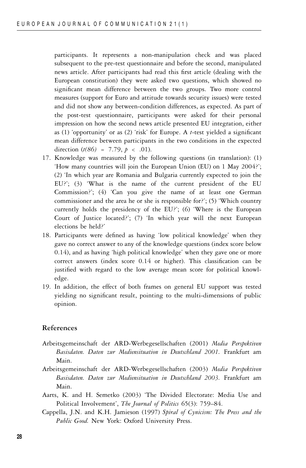participants. It represents a non-manipulation check and was placed subsequent to the pre-test questionnaire and before the second, manipulated news article. After participants had read this first article (dealing with the European constitution) they were asked two questions, which showed no significant mean difference between the two groups. Two more control measures (support for Euro and attitude towards security issues) were tested and did not show any between-condition differences, as expected. As part of the post-test questionnaire, participants were asked for their personal impression on how the second news article presented EU integration, either as (1) 'opportunity' or as (2) 'risk' for Europe. A *t*-test yielded a significant mean difference between participants in the two conditions in the expected direction (*t(86)* = 7.79, *p <* .01).

- 17. Knowledge was measured by the following questions (in translation): (1) 'How many countries will join the European Union (EU) on 1 May 2004?'; (2) 'In which year are Romania and Bulgaria currently expected to join the EU?'; (3) 'What is the name of the current president of the EU Commission?'; (4) 'Can you give the name of at least one German commissioner and the area he or she is responsible for?'; (5) 'Which country currently holds the presidency of the EU?'; (6) 'Where is the European Court of Justice located?'; (7) 'In which year will the next European elections be held?'
- 18. Participants were defined as having 'low political knowledge' when they gave no correct answer to any of the knowledge questions (index score below 0.14), and as having 'high political knowledge' when they gave one or more correct answers (index score 0.14 or higher). This classification can be justified with regard to the low average mean score for political knowledge.
- 19. In addition, the effect of both frames on general EU support was tested yielding no significant result, pointing to the multi-dimensions of public opinion.

#### **References**

- Arbeitsgemeinschaft der ARD-Werbegesellschaften (2001) *Media Perspektiven Basisdaten. Daten zur Mediensituation in Deutschland 2001.* Frankfurt am Main.
- Arbeitsgemeinschaft der ARD-Werbegesellschaften (2003) *Media Perspektiven Basisdaten. Daten zur Mediensituation in Deutschland 2003.* Frankfurt am Main.
- Aarts, K. and H. Semetko (2003) 'The Divided Electorate: Media Use and Political Involvement', *The Journal of Politics* 65(3): 759–84.
- Cappella, J.N. and K.H. Jamieson (1997) *Spiral of Cynicism: The Press and the Public Good.* New York: Oxford University Press.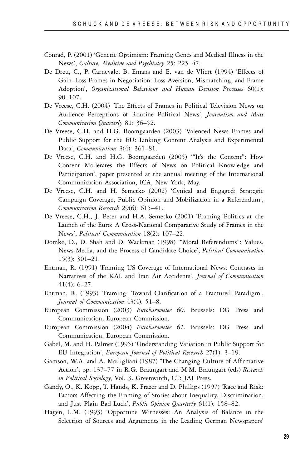- Conrad, P. (2001) 'Genetic Optimism: Framing Genes and Medical Illness in the News', *Culture, Medicine and Psychiatry* 25: 225–47.
- De Dreu, C., P. Carnevale, B. Emans and E. van de Vliert (1994) 'Effects of Gain–Loss Frames in Negotiation: Loss Aversion, Mismatching, and Frame Adoption', *Organizational Behaviour and Human Decision Processes* 60(1): 90–107.
- De Vreese, C.H. (2004) 'The Effects of Frames in Political Television News on Audience Perceptions of Routine Political News', *Journalism and Mass Communication Quarterly* 81: 36–52.
- De Vreese, C.H. and H.G. Boomgaarden (2003) 'Valenced News Frames and Public Support for the EU: Linking Content Analysis and Experimental Data', *Communications* 3(4): 361–81.
- De Vreese, C.H. and H.G. Boomgaarden (2005) '"It's the Content": How Content Moderates the Effects of News on Political Knowledge and Participation', paper presented at the annual meeting of the International Communication Association, ICA, New York, May.
- De Vreese, C.H. and H. Semetko (2002) 'Cynical and Engaged: Strategic Campaign Coverage, Public Opinion and Mobilization in a Referendum', *Communication Research* 29(6): 615–41.
- De Vreese, C.H., J. Peter and H.A. Semetko (2001) 'Framing Politics at the Launch of the Euro: A Cross-National Comparative Study of Frames in the News', *Political Communication* 18(2): 107–22.
- Domke, D., D. Shah and D. Wackman (1998) '"Moral Referendums": Values, News Media, and the Process of Candidate Choice', *Political Communication* 15(3): 301–21.
- Entman, R. (1991) 'Framing US Coverage of International News: Contrasts in Narratives of the KAL and Iran Air Accidents', *Journal of Communication* 41(4): 6–27.
- Entman, R. (1993) 'Framing: Toward Clarification of a Fractured Paradigm', *Journal of Communication* 43(4): 51–8.
- European Commission (2003) *Eurobarometer 60.* Brussels: DG Press and Communication, European Commission.
- European Commission (2004) *Eurobarometer 61.* Brussels: DG Press and Communication, European Commission.
- Gabel, M. and H. Palmer (1995) 'Understanding Variation in Public Support for EU Integration', *European Journal of Political Research* 27(1): 3–19.
- Gamson, W.A. and A. Modigliani (1987) 'The Changing Culture of Affirmative Action', pp. 137–77 in R.G. Braungart and M.M. Braungart (eds) *Research in Political Sociology*, Vol. 3. Greenwitch, CT: JAI Press.
- Gandy, O., K. Kopp, T. Hands, K. Frazer and D. Phillips (1997) 'Race and Risk: Factors Affecting the Framing of Stories about Inequality, Discrimination, and Just Plain Bad Luck', *Public Opinion Quarterly* 61(1): 158–82.
- Hagen, L.M. (1993) 'Opportune Witnesses: An Analysis of Balance in the Selection of Sources and Arguments in the Leading German Newspapers'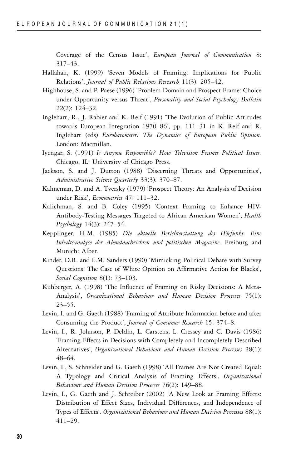Coverage of the Census Issue', *European Journal of Communication* 8: 317–43.

- Hallahan, K. (1999) 'Seven Models of Framing: Implications for Public Relations', *Journal of Public Relations Research* 11(3): 205–42.
- Highhouse, S. and P. Paese (1996) 'Problem Domain and Prospect Frame: Choice under Opportunity versus Threat', *Personality and Social Psychology Bulletin* 22(2): 124–32.
- Inglehart, R., J. Rabier and K. Reif (1991) 'The Evolution of Public Attitudes towards European Integration 1970–86', pp. 111–31 in K. Reif and R. Inglehart (eds) *Eurobarometer: The Dynamics of European Public Opinion.* London: Macmillan.
- Iyengar, S. (1991) *Is Anyone Responsible? How Television Frames Political Issues.* Chicago, IL: University of Chicago Press.
- Jackson, S. and J. Dutton (1988) 'Discerning Threats and Opportunities', *Administrative Science Quarterly* 33(3): 370–87.
- Kahneman, D. and A. Tversky (1979) 'Prospect Theory: An Analysis of Decision under Risk', *Econometrics* 47: 111–32.
- Kalichman, S. and B. Coley (1995) 'Context Framing to Enhance HIV-Antibody-Testing Messages Targeted to African American Women', *Health Psychology* 14(3): 247–54.
- Kepplinger, H.M. (1985) *Die aktuelle Berichterstattung des Hörfunks. Eine Inhaltsanalyse der Abendnachrichten und politischen Magazine.* Freiburg and Munich: Alber.
- Kinder, D.R. and L.M. Sanders (1990) 'Mimicking Political Debate with Survey Questions: The Case of White Opinion on Affirmative Action for Blacks', *Social Cognition* 8(1): 73–103.
- Kuhberger, A. (1998) 'The Influence of Framing on Risky Decisions: A Meta-Analysis', *Organizational Behaviour and Human Decision Processes* 75(1): 23–55.
- Levin, I. and G. Gaeth (1988) 'Framing of Attribute Information before and after Consuming the Product', *Journal of Consumer Research* 15: 374–8.
- Levin, I., R. Johnson, P. Deldin, L. Carstens, L. Cressey and C. Davis (1986) 'Framing Effects in Decisions with Completely and Incompletely Described Alternatives', *Organizational Behaviour and Human Decision Processes* 38(1): 48–64.
- Levin, I., S. Schneider and G. Gaeth (1998) 'All Frames Are Not Created Equal: A Typology and Critical Analysis of Framing Effects', *Organizational Behaviour and Human Decision Processes* 76(2): 149–88.
- Levin, I., G. Gaeth and J. Schreiber (2002) 'A New Look at Framing Effects: Distribution of Effect Sizes, Individual Differences, and Independence of Types of Effects'. *Organizational Behaviour and Human Decision Processes* 88(1): 411–29.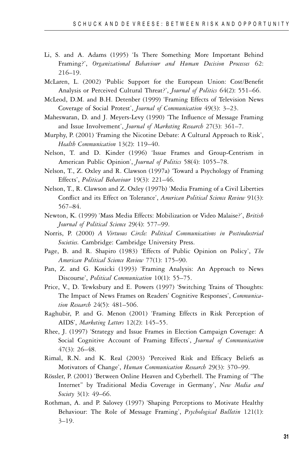- Li, S. and A. Adams (1995) 'Is There Something More Important Behind Framing?', *Organizational Behaviour and Human Decision Processes* 62: 216–19.
- McLaren, L. (2002) 'Public Support for the European Union: Cost/Benefit Analysis or Perceived Cultural Threat?', *Journal of Politics* 64(2): 551–66.
- McLeod, D.M. and B.H. Detenber (1999) 'Framing Effects of Television News Coverage of Social Protest', *Journal of Communication* 49(3): 3–23.
- Maheswaran, D. and J. Meyers-Levy (1990) 'The Influence of Message Framing and Issue Involvement', *Journal of Marketing Research* 27(3): 361–7.
- Murphy, P. (2001) 'Framing the Nicotine Debate: A Cultural Approach to Risk', *Health Communication* 13(2): 119–40.
- Nelson, T. and D. Kinder (1996) 'Issue Frames and Group-Centrism in American Public Opinion', *Journal of Politics* 58(4): 1055–78.
- Nelson, T., Z. Oxley and R. Clawson (1997a) 'Toward a Psychology of Framing Effects', *Political Behaviour* 19(3): 221–46.
- Nelson, T., R. Clawson and Z. Oxley (1997b) 'Media Framing of a Civil Liberties Conflict and its Effect on Tolerance', *American Political Science Review* 91(3): 567–84.
- Newton, K. (1999) 'Mass Media Effects: Mobilization or Video Malaise?', *British Journal of Political Science* 29(4): 577–99.
- Norris, P. (2000) *A Virtuous Circle: Political Communications in Postindustrial Societies.* Cambridge: Cambridge University Press.
- Page, B. and R. Shapiro (1983) 'Effects of Public Opinion on Policy', *The American Political Science Review* 77(1): 175–90.
- Pan, Z. and G. Kosicki (1993) 'Framing Analysis: An Approach to News Discourse', *Political Communication* 10(1): 55–75.
- Price, V., D. Tewksbury and E. Powers (1997) 'Switching Trains of Thoughts: The Impact of News Frames on Readers' Cognitive Responses', *Communication Research* 24(5): 481–506.
- Raghubir, P. and G. Menon (2001) 'Framing Effects in Risk Perception of AIDS', *Marketing Letters* 12(2): 145–55.
- Rhee, J. (1997) 'Strategy and Issue Frames in Election Campaign Coverage: A Social Cognitive Account of Framing Effects', *Journal of Communication* 47(3): 26–48.
- Rimal, R.N. and K. Real (2003) 'Perceived Risk and Efficacy Beliefs as Motivators of Change', *Human Communication Research* 29(3): 370–99.
- Rössler, P. (2001) 'Between Online Heaven and Cyberhell. The Framing of "The Internet" by Traditional Media Coverage in Germany', *New Media and Society* 3(1): 49–66.
- Rothman, A. and P. Salovey (1997) 'Shaping Perceptions to Motivate Healthy Behaviour: The Role of Message Framing', *Psychological Bulletin* 121(1):  $3 - 19.$